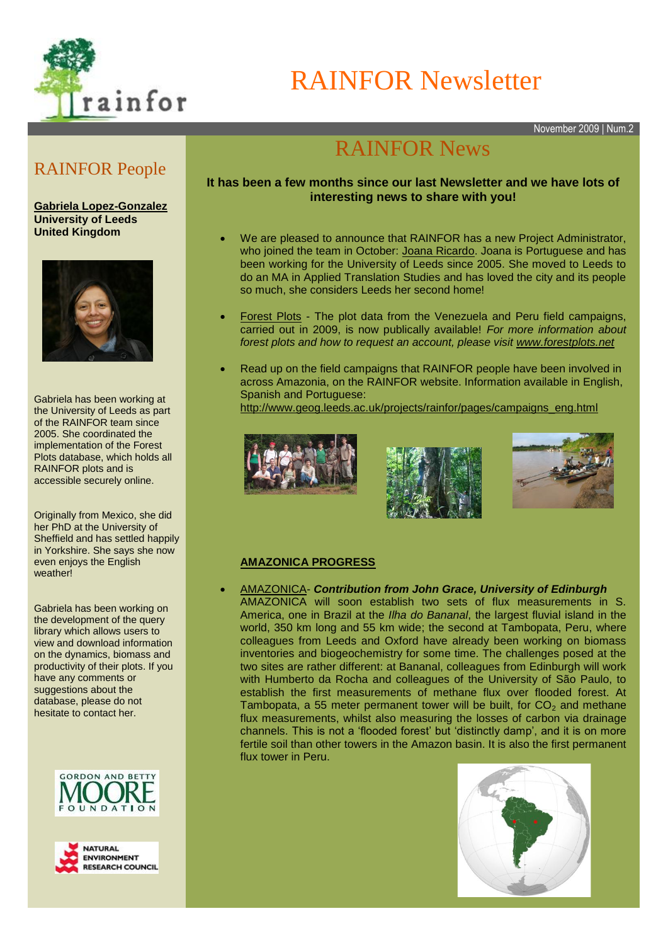

RAINFOR Newsletter

November 2009 | Num.2

## RAINFOR People

**[Gabriela Lopez-Gonzalez](http://www.geog.leeds.ac.uk/index.php?id=413)  University of Leeds United Kingdom**



Gabriela has been working at the University of Leeds as part of the RAINFOR team since 2005. She coordinated the implementation of the Forest Plots database, which holds all RAINFOR plots and is accessible securely online.

Originally from Mexico, she did her PhD at the University of Sheffield and has settled happily in Yorkshire. She says she now even enjoys the English weather!

Gabriela has been working on the development of the query library which allows users to view and download information on the dynamics, biomass and productivity of their plots. If you have any comments or suggestions about the database, please do not hesitate to contact her.





# RAINFOR News

### **It has been a few months since our last Newsletter and we have lots of interesting news to share with you!**

- We are pleased to announce that RAINFOR has a new Project Administrator, who joined the team in October: [Joana Ricardo.](http://www.geog.leeds.ac.uk/people/support) Joana is Portuguese and has been working for the University of Leeds since 2005. She moved to Leeds to do an MA in Applied Translation Studies and has loved the city and its people so much, she considers Leeds her second home!
- [Forest Plots](http://www.forestplots.net/) The plot data from the Venezuela and Peru field campaigns, carried out in 2009, is now publically available! *For more information about forest plots and how to request an account, please visit [www.forestplots.net](http://www.forestplots.net/)*
- Read up on the field campaigns that RAINFOR people have been involved in across Amazonia, on the RAINFOR website. Information available in English, Spanish and Portuguese:

[http://www.geog.leeds.ac.uk/projects/rainfor/pages/campaigns\\_eng.html](http://www.geog.leeds.ac.uk/projects/rainfor/pages/campaigns_eng.html)







#### **AMAZONICA PROGRESS**

 [AMAZONICA-](http://www.geog.leeds.ac.uk/projects/amazonica/index.html) *Contribution from John Grace, University of Edinburgh* AMAZONICA will soon establish two sets of flux measurements in S. America, one in Brazil at the *Ilha do Bananal*, the largest fluvial island in the world, 350 km long and 55 km wide; the second at Tambopata, Peru, where colleagues from Leeds and Oxford have already been working on biomass inventories and biogeochemistry for some time. The challenges posed at the two sites are rather different: at Bananal, colleagues from Edinburgh will work with Humberto da Rocha and colleagues of the University of São Paulo, to establish the first measurements of methane flux over flooded forest. At Tambopata, a 55 meter permanent tower will be built, for  $CO<sub>2</sub>$  and methane flux measurements, whilst also measuring the losses of carbon via drainage channels. This is not a 'flooded forest' but 'distinctly damp', and it is on more fertile soil than other towers in the Amazon basin. It is also the first permanent flux tower in Peru.